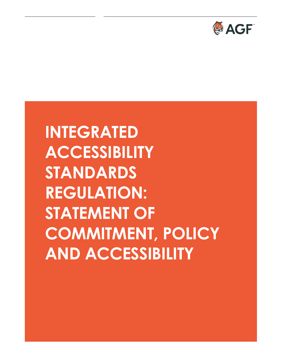

# **INTEGRATED ACCESSIBILITY STANDARDS REGULATION: STATEMENT OF COMMITMENT, POLICY AND ACCESSIBILITY**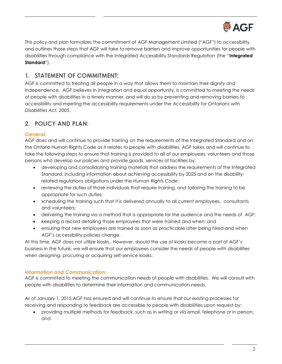

This policy and plan formalizes the commitment of AGF Management Limited ("AGF") to accessibility, and outlines those steps that AGF will take to remove barriers and improve opportunities for people with disabilities through compliance with the Integrated Accessibility Standards Regulation (the "**Integrated Standard**").

## **1. STATEMENT OF COMMITMENT:**

AGF is committed to treating all people in a way that allows them to maintain their dignity and independence. AGF believes in integration and equal opportunity, is committed to meeting the needs of people with disabilities in a timely manner, and will do so by preventing and removing barriers to accessibility and meeting the accessibility requirements under the *Accessibility for Ontarians with Disabilities Act, 2005*.

# **2. POLICY AND PLAN:**

#### **General:**

AGF does and will continue to provide training on the requirements of the Integrated Standard and on the Ontario Human Rights Code as it relates to people with disabilities. AGF takes and will continue to take the following steps to ensure that training is provided to all of our employees, volunteers and those persons who develop our policies and provide goods, services of facilities by:

- developing and consolidating training materials that address the requirements of the Integrated Standard, including information about achieving accessibility by 2025 and on the disabilityrelated regulations obligations under the *Human Rights Code*;
- reviewing the duties of those individuals that require training, and tailoring the training to be appropriate for such duties;
- scheduling the training such that it is delivered annually to all current employees, consultants and volunteers;
- delivering the training via a method that is appropriate for the audience and the needs of AGF;
- keeping a record detailing those employees that were trained and when; and
- ensuring that new employees are trained as soon as practicable after being hired and when AGF's accessibility policies change.

At this time, AGF does not utilize kiosks. However, should the use of kiosks become a part of AGF's business in the future, we will ensure that our employees consider the needs of people with disabilities when designing, procuring or acquiring self-service kiosks.

#### **Information and Communication:**

AGF is committed to meeting the communication needs of people with disabilities. We will consult with people with disabilities to determine their information and communication needs.

As of January 1, 2015 AGF has ensured and will continue to ensure that our existing processes for receiving and responding to feedback are accessible to people with disabilities upon request by:

 providing multiple methods for feedback, such as in writing or via email, telephone or in person; and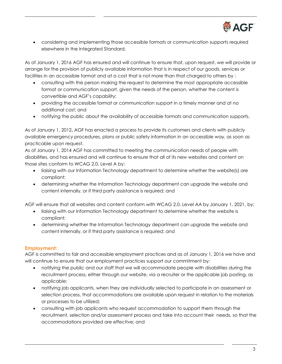

 considering and implementing those accessible formats or communication supports required elsewhere in the Integrated Standard.

As of January 1, 2016 AGF has ensured and will continue to ensure that, upon request, we will provide or arrange for the provision of publicly available information that is in respect of our goods, services or facilities in an accessible format and at a cost that is not more than that charged to others by :

- consulting with the person making the request to determine the most appropriate accessible format or communication support, given the needs of the person, whether the content is convertible and AGF's capability;
- providing the accessible format or communication support in a timely manner and at no additional cost; and
- notifying the public about the availability of accessible formats and communication supports.

As of January 1, 2012**,** AGF has enacted a process to provide its customers and clients with publicly available emergency procedures, plans or public safety information in an accessible way, as soon as practicable upon request.

As of January 1, 2014 AGF has committed to meeting the communication needs of people with disabilities, and has ensured and will continue to ensure that all of its new websites and content on those sites conform to WCAG 2.0, Level A by:

- liaising with our Information Technology department to determine whether the website(s) are compliant;
- determining whether the Information Technology department can upgrade the website and content internally, or if third party assistance is required; and

AGF will ensure that all websites and content conform with WCAG 2.0, Level AA by January 1, 2021, by:

- liaising with our Information Technology department to determine whether the website is compliant;
- determining whether the Information Technology department can upgrade the website and content internally, or if third party assistance is required; and

#### **Employment:**

AGF is committed to fair and accessible employment practices and as of January 1, 2016 we have and will continue to ensure that our employment practices support our commitment by:

- notifying the public and our staff that we will accommodate people with disabilities during the recruitment process, either through our website, via a recruiter or the applicable job posting, as applicable;
- notifying job applicants, when they are individually selected to participate in an assessment or selection process, that accommodations are available upon request in relation to the materials or processes to be utilized;
- consulting with job applicants who request accommodation to support them through the recruitment, selection and/or assessment process and take into account their needs, so that the accommodations provided are effective; and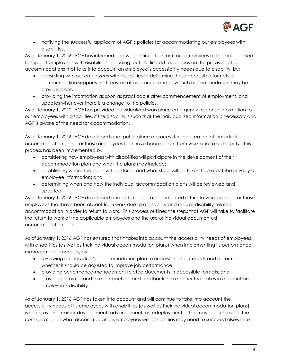

 notifying the successful applicant of AGF's policies for accommodating our employees with disabilities.

As of January 1, 2016, AGF has informed and will continue to inform our employees of the policies used to support employees with disabilities, including, but not limited to, policies on the provision of job accommodations that take into account an employee's accessibility needs due to disability, by:

- consulting with our employees with disabilities to determine those accessible formats or communication supports that may be of assistance, and how such accommodation may be provided; and
- providing the information as soon as practicable after commencement of employment, and updates whenever there is a change to the policies.

As of January 1, 2012, AGF has provided individualized workplace emergency response information to our employees with disabilities, if the disability is such that the individualized information is necessary and AGF is aware of the need for accommodation.

As of January 1, 2016, AGF developed and put in place a process for the creation of individual accommodation plans for those employees that have been absent from work due to a disability. This process has been implemented by:

- considering how employees with disabilities will participate in the development of their accommodation plan and what the plans may include;
- establishing where the plans will be stored and what steps will be taken to protect the privacy of employee information; and
- determining when and how the individual accommodation plans will be reviewed and updated.

As of January 1, 2016, AGF developed and put in place a documented return to work process for those employees that have been absent from work due to a disability and require disability-related accommodation in order to return to work. This process outlines the steps that AGF will take to facilitate the return to work of the applicable employees and the use of individual documented accommodation plans.

As of January 1, 2016 AGF has ensured that it takes into account the accessibility needs of employees with disabilities (as well as their individual accommodation plans) when implementing its performance management processes, by:

- reviewing an individual's accommodation plan to understand their needs and determine whether it should be adjusted to improve job performance;
- providing performance-management related documents in accessible formats; and
- providing informal and formal coaching and feedback in a manner that takes in account an employee's disability.

As of January 1, 2016 AGF has taken into account and will continue to take into account the accessibility needs of its employees with disabilities (as well as their individual accommodation plans) when providing career development, advancement, or redeployment.. This may occur through the consideration of what accommodations employees with disabilities may need to succeed elsewhere